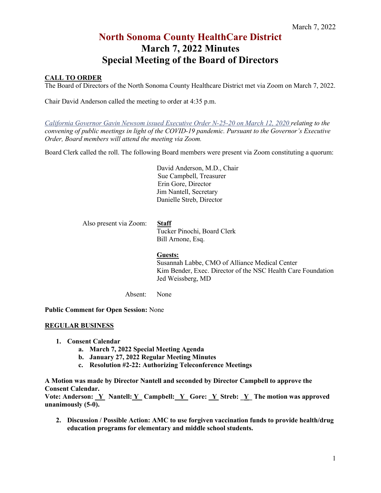#### **CALL TO ORDER**

The Board of Directors of the North Sonoma County Healthcare District met via Zoom on March 7, 2022.

Chair David Anderson called the meeting to order at 4:35 p.m.

*[California Governor Gavin Newsom issued Executive Order N-25-20 on March 12, 2020](https://www.gov.ca.gov/2020/03/12/governor-newsom-issues-new-executive-order-further-enhancing-state-and-local-governments-ability-to-respond-to-covid-19-pandemic/) relating to the convening of public meetings in light of the COVID-19 pandemic. Pursuant to the Governor's Executive Order, Board members will attend the meeting via Zoom.* 

Board Clerk called the roll. The following Board members were present via Zoom constituting a quorum:

David Anderson, M.D., Chair Sue Campbell, Treasurer Erin Gore, Director Jim Nantell, Secretary Danielle Streb, Director

Also present via Zoom: **Staff**

Tucker Pinochi, Board Clerk Bill Arnone, Esq.

#### **Guests:**

Susannah Labbe, CMO of Alliance Medical Center Kim Bender, Exec. Director of the NSC Health Care Foundation Jed Weissberg, MD

Absent: None

**Public Comment for Open Session:** None

#### **REGULAR BUSINESS**

- **1. Consent Calendar**
	- **a. March 7, 2022 Special Meeting Agenda**
	- **b. January 27, 2022 Regular Meeting Minutes**
	- **c. Resolution #2-22: Authorizing Teleconference Meetings**

**A Motion was made by Director Nantell and seconded by Director Campbell to approve the Consent Calendar.**

Vote: Anderson: Y\_Nantell: Y\_Campbell: Y\_Gore: Y\_Streb: Y\_The motion was approved **unanimously (5-0).** 

**2. Discussion / Possible Action: AMC to use forgiven vaccination funds to provide health/drug education programs for elementary and middle school students.**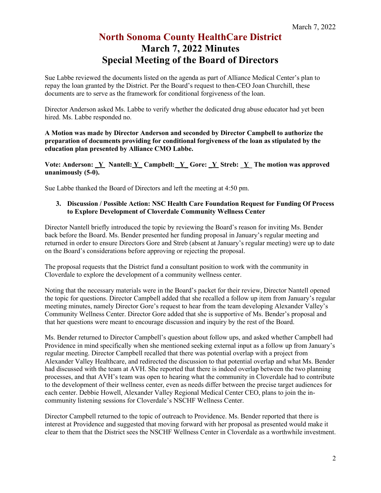Sue Labbe reviewed the documents listed on the agenda as part of Alliance Medical Center's plan to repay the loan granted by the District. Per the Board's request to then-CEO Joan Churchill, these documents are to serve as the framework for conditional forgiveness of the loan.

Director Anderson asked Ms. Labbe to verify whether the dedicated drug abuse educator had yet been hired. Ms. Labbe responded no.

**A Motion was made by Director Anderson and seconded by Director Campbell to authorize the preparation of documents providing for conditional forgiveness of the loan as stipulated by the education plan presented by Alliance CMO Labbe.** 

**Vote: Anderson:**  $\underline{Y}$  Nantell:  $\underline{Y}$  Campbell:  $\underline{Y}$  Gore:  $\underline{Y}$  Streb:  $\underline{Y}$  The motion was approved **unanimously (5-0).** 

Sue Labbe thanked the Board of Directors and left the meeting at 4:50 pm.

**3. Discussion / Possible Action: NSC Health Care Foundation Request for Funding Of Process to Explore Development of Cloverdale Community Wellness Center**

Director Nantell briefly introduced the topic by reviewing the Board's reason for inviting Ms. Bender back before the Board. Ms. Bender presented her funding proposal in January's regular meeting and returned in order to ensure Directors Gore and Streb (absent at January's regular meeting) were up to date on the Board's considerations before approving or rejecting the proposal.

The proposal requests that the District fund a consultant position to work with the community in Cloverdale to explore the development of a community wellness center.

Noting that the necessary materials were in the Board's packet for their review, Director Nantell opened the topic for questions. Director Campbell added that she recalled a follow up item from January's regular meeting minutes, namely Director Gore's request to hear from the team developing Alexander Valley's Community Wellness Center. Director Gore added that she is supportive of Ms. Bender's proposal and that her questions were meant to encourage discussion and inquiry by the rest of the Board.

Ms. Bender returned to Director Campbell's question about follow ups, and asked whether Campbell had Providence in mind specifically when she mentioned seeking external input as a follow up from January's regular meeting. Director Campbell recalled that there was potential overlap with a project from Alexander Valley Healthcare, and redirected the discussion to that potential overlap and what Ms. Bender had discussed with the team at AVH. She reported that there is indeed overlap between the two planning processes, and that AVH's team was open to hearing what the community in Cloverdale had to contribute to the development of their wellness center, even as needs differ between the precise target audiences for each center. Debbie Howell, Alexander Valley Regional Medical Center CEO, plans to join the incommunity listening sessions for Cloverdale's NSCHF Wellness Center.

Director Campbell returned to the topic of outreach to Providence. Ms. Bender reported that there is interest at Providence and suggested that moving forward with her proposal as presented would make it clear to them that the District sees the NSCHF Wellness Center in Cloverdale as a worthwhile investment.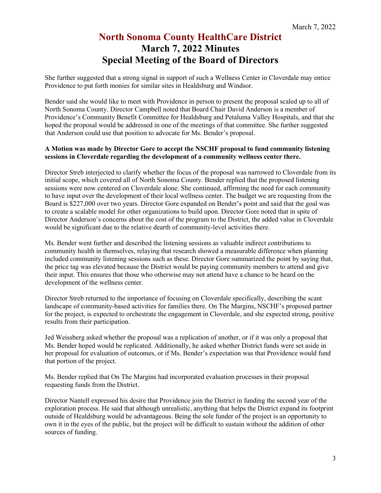She further suggested that a strong signal in support of such a Wellness Center in Cloverdale may entice Providence to put forth monies for similar sites in Healdsburg and Windsor.

Bender said she would like to meet with Providence in person to present the proposal scaled up to all of North Sonoma County. Director Campbell noted that Board Chair David Anderson is a member of Providence's Community Benefit Committee for Healdsburg and Petaluma Valley Hospitals, and that she hoped the proposal would be addressed in one of the meetings of that committee. She further suggested that Anderson could use that position to advocate for Ms. Bender's proposal.

#### **A Motion was made by Director Gore to accept the NSCHF proposal to fund community listening sessions in Cloverdale regarding the development of a community wellness center there.**

Director Streb interjected to clarify whether the focus of the proposal was narrowed to Cloverdale from its initial scope, which covered all of North Sonoma County. Bender replied that the proposed listening sessions were now centered on Cloverdale alone. She continued, affirming the need for each community to have input over the development of their local wellness center. The budget we are requesting from the Board is \$227,000 over two years. Director Gore expanded on Bender's point and said that the goal was to create a scalable model for other organizations to build upon. Director Gore noted that in spite of Director Anderson's concerns about the cost of the program to the District, the added value in Cloverdale would be significant due to the relative dearth of community-level activities there.

Ms. Bender went further and described the listening sessions as valuable indirect contributions to community health in themselves, relaying that research showed a measurable difference when planning included community listening sessions such as these. Director Gore summarized the point by saying that, the price tag was elevated because the District would be paying community members to attend and give their input. This ensures that those who otherwise may not attend have a chance to be heard on the development of the wellness center.

Director Streb returned to the importance of focusing on Cloverdale specifically, describing the scant landscape of community-based activities for families there. On The Margins, NSCHF's proposed partner for the project, is expected to orchestrate the engagement in Cloverdale, and she expected strong, positive results from their participation.

Jed Weissberg asked whether the proposal was a replication of another, or if it was only a proposal that Ms. Bender hoped would be replicated. Additionally, he asked whether District funds were set aside in her proposal for evaluation of outcomes, or if Ms. Bender's expectation was that Providence would fund that portion of the project.

Ms. Bender replied that On The Margins had incorporated evaluation processes in their proposal requesting funds from the District.

Director Nantell expressed his desire that Providence join the District in funding the second year of the exploration process. He said that although unrealistic, anything that helps the District expand its footprint outside of Healdsburg would be advantageous. Being the sole funder of the project is an opportunity to own it in the eyes of the public, but the project will be difficult to sustain without the addition of other sources of funding.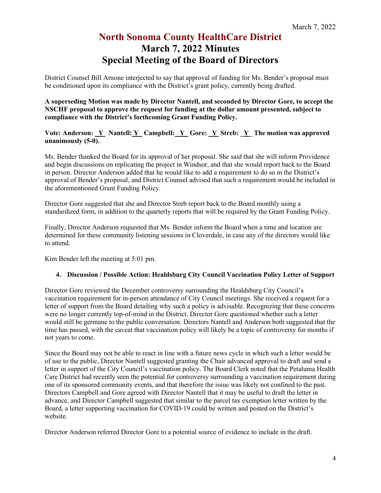District Counsel Bill Arnone interjected to say that approval of funding for Ms. Bender's proposal must be conditioned upon its compliance with the District's grant policy, currently being drafted.

**A superseding Motion was made by Director Nantell, and seconded by Director Gore, to accept the NSCHF proposal to approve the request for funding at the dollar amount presented, subject to compliance with the District's forthcoming Grant Funding Policy.** 

Vote: Anderson: <u>Y\_Nantell: Y\_Campbell: Y\_Gore: Y\_Streb: Y\_The motion was approved</u> **unanimously (5-0).** 

Ms. Bender thanked the Board for its approval of her proposal. She said that she will inform Providence and begin discussions on replicating the project in Windsor, and that she would report back to the Board in person. Director Anderson added that he would like to add a requirement to do so in the District's approval of Bender's proposal, and District Counsel advised that such a requirement would be included in the aforementioned Grant Funding Policy.

Director Gore suggested that she and Director Streb report back to the Board monthly using a standardized form, in addition to the quarterly reports that will be required by the Grant Funding Policy.

Finally, Director Anderson requested that Ms. Bender inform the Board when a time and location are determined for these community listening sessions in Cloverdale, in case any of the directors would like to attend.

Kim Bender left the meeting at 5:01 pm.

#### **4. Discussion / Possible Action: Healdsburg City Council Vaccination Policy Letter of Support**

Director Gore reviewed the December controversy surrounding the Healdsburg City Council's vaccination requirement for in-person attendance of City Council meetings. She received a request for a letter of support from the Board detailing why such a policy is advisable. Recognizing that these concerns were no longer currently top-of-mind in the District, Director Gore questioned whether such a letter would still be germane to the public conversation. Directors Nantell and Anderson both suggested that the time has passed, with the caveat that vaccination policy will likely be a topic of controversy for months if not years to come.

Since the Board may not be able to react in line with a future news cycle in which such a letter would be of use to the public, Director Nantell suggested granting the Chair advanced approval to draft and send a letter in support of the City Council's vaccination policy. The Board Clerk noted that the Petaluma Health Care District had recently seen the potential for controversy surrounding a vaccination requirement during one of its sponsored community events, and that therefore the issue was likely not confined to the past. Directors Campbell and Gore agreed with Director Nantell that it may be useful to draft the letter in advance, and Director Campbell suggested that similar to the parcel tax exemption letter written by the Board, a letter supporting vaccination for COVID-19 could be written and posted on the District's website.

Director Anderson referred Director Gore to a potential source of evidence to include in the draft.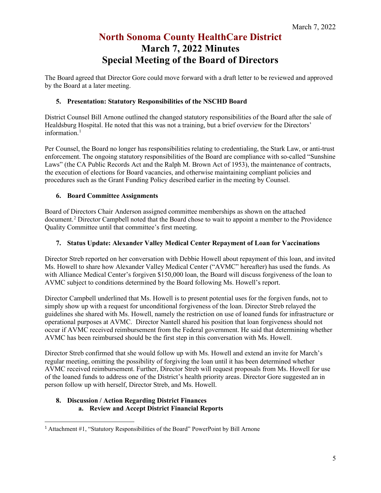The Board agreed that Director Gore could move forward with a draft letter to be reviewed and approved by the Board at a later meeting.

#### **5. Presentation: Statutory Responsibilities of the NSCHD Board**

District Counsel Bill Arnone outlined the changed statutory responsibilities of the Board after the sale of Healdsburg Hospital. He noted that this was not a training, but a brief overview for the Directors' information.<sup>[1](#page-4-0)</sup>

Per Counsel, the Board no longer has responsibilities relating to credentialing, the Stark Law, or anti-trust enforcement. The ongoing statutory responsibilities of the Board are compliance with so-called "Sunshine Laws" (the CA Public Records Act and the Ralph M. Brown Act of 1953), the maintenance of contracts, the execution of elections for Board vacancies, and otherwise maintaining compliant policies and procedures such as the Grant Funding Policy described earlier in the meeting by Counsel.

#### **6. Board Committee Assignments**

Board of Directors Chair Anderson assigned committee memberships as shown on the attached document.[2](#page-4-1) Director Campbell noted that the Board chose to wait to appoint a member to the Providence Quality Committee until that committee's first meeting.

#### **7. Status Update: Alexander Valley Medical Center Repayment of Loan for Vaccinations**

Director Streb reported on her conversation with Debbie Howell about repayment of this loan, and invited Ms. Howell to share how Alexander Valley Medical Center ("AVMC" hereafter) has used the funds. As with Alliance Medical Center's forgiven \$150,000 loan, the Board will discuss forgiveness of the loan to AVMC subject to conditions determined by the Board following Ms. Howell's report.

Director Campbell underlined that Ms. Howell is to present potential uses for the forgiven funds, not to simply show up with a request for unconditional forgiveness of the loan. Director Streb relayed the guidelines she shared with Ms. Howell, namely the restriction on use of loaned funds for infrastructure or operational purposes at AVMC. Director Nantell shared his position that loan forgiveness should not occur if AVMC received reimbursement from the Federal government. He said that determining whether AVMC has been reimbursed should be the first step in this conversation with Ms. Howell.

Director Streb confirmed that she would follow up with Ms. Howell and extend an invite for March's regular meeting, omitting the possibility of forgiving the loan until it has been determined whether AVMC received reimbursement. Further, Director Streb will request proposals from Ms. Howell for use of the loaned funds to address one of the District's health priority areas. Director Gore suggested an in person follow up with herself, Director Streb, and Ms. Howell.

#### **8. Discussion / Action Regarding District Finances a. Review and Accept District Financial Reports**

<span id="page-4-1"></span><span id="page-4-0"></span><sup>&</sup>lt;sup>1</sup> Attachment #1, "Statutory Responsibilities of the Board" PowerPoint by Bill Arnone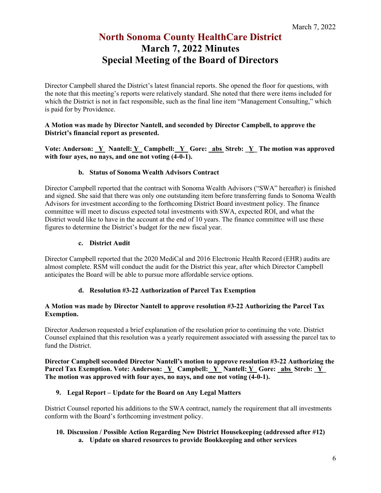Director Campbell shared the District's latest financial reports. She opened the floor for questions, with the note that this meeting's reports were relatively standard. She noted that there were items included for which the District is not in fact responsible, such as the final line item "Management Consulting," which is paid for by Providence.

#### **A Motion was made by Director Nantell, and seconded by Director Campbell, to approve the District's financial report as presented.**

Vote: Anderson: Y\_ Nantell: Y\_ Campbell: Y\_ Gore: abs Streb: Y\_ The motion was approved **with four ayes, no nays, and one not voting (4-0-1).** 

#### **b. Status of Sonoma Wealth Advisors Contract**

Director Campbell reported that the contract with Sonoma Wealth Advisors ("SWA" hereafter) is finished and signed. She said that there was only one outstanding item before transferring funds to Sonoma Wealth Advisors for investment according to the forthcoming District Board investment policy. The finance committee will meet to discuss expected total investments with SWA, expected ROI, and what the District would like to have in the account at the end of 10 years. The finance committee will use these figures to determine the District's budget for the new fiscal year.

#### **c. District Audit**

Director Campbell reported that the 2020 MediCal and 2016 Electronic Health Record (EHR) audits are almost complete. RSM will conduct the audit for the District this year, after which Director Campbell anticipates the Board will be able to pursue more affordable service options.

#### **d. Resolution #3-22 Authorization of Parcel Tax Exemption**

#### **A Motion was made by Director Nantell to approve resolution #3-22 Authorizing the Parcel Tax Exemption.**

Director Anderson requested a brief explanation of the resolution prior to continuing the vote. District Counsel explained that this resolution was a yearly requirement associated with assessing the parcel tax to fund the District.

**Director Campbell seconded Director Nantell's motion to approve resolution #3-22 Authorizing the Parcel Tax Exemption. Vote: Anderson: Y\_ Campbell: Y\_ Nantell: Y\_ Gore: abs Streb: Y\_ The motion was approved with four ayes, no nays, and one not voting (4-0-1).** 

#### **9. Legal Report – Update for the Board on Any Legal Matters**

District Counsel reported his additions to the SWA contract, namely the requirement that all investments conform with the Board's forthcoming investment policy.

#### **10. Discussion / Possible Action Regarding New District Housekeeping (addressed after #12) a. Update on shared resources to provide Bookkeeping and other services**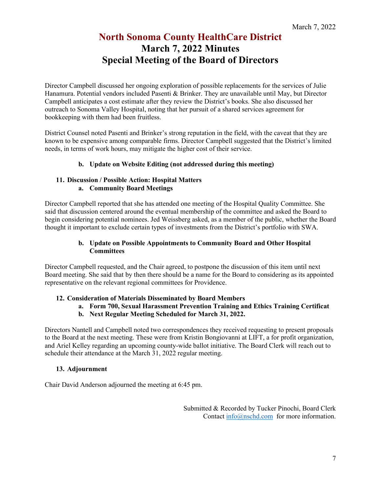Director Campbell discussed her ongoing exploration of possible replacements for the services of Julie Hanamura. Potential vendors included Pasenti & Brinker. They are unavailable until May, but Director Campbell anticipates a cost estimate after they review the District's books. She also discussed her outreach to Sonoma Valley Hospital, noting that her pursuit of a shared services agreement for bookkeeping with them had been fruitless.

District Counsel noted Pasenti and Brinker's strong reputation in the field, with the caveat that they are known to be expensive among comparable firms. Director Campbell suggested that the District's limited needs, in terms of work hours, may mitigate the higher cost of their service.

#### **b. Update on Website Editing (not addressed during this meeting)**

#### **11. Discussion / Possible Action: Hospital Matters a. Community Board Meetings**

Director Campbell reported that she has attended one meeting of the Hospital Quality Committee. She said that discussion centered around the eventual membership of the committee and asked the Board to begin considering potential nominees. Jed Weissberg asked, as a member of the public, whether the Board thought it important to exclude certain types of investments from the District's portfolio with SWA.

#### **b. Update on Possible Appointments to Community Board and Other Hospital Committees**

Director Campbell requested, and the Chair agreed, to postpone the discussion of this item until next Board meeting. She said that by then there should be a name for the Board to considering as its appointed representative on the relevant regional committees for Providence.

#### **12. Consideration of Materials Disseminated by Board Members**

#### **a. Form 700, Sexual Harassment Prevention Training and Ethics Training Certificat**

**b. Next Regular Meeting Scheduled for March 31, 2022.** 

Directors Nantell and Campbell noted two correspondences they received requesting to present proposals to the Board at the next meeting. These were from Kristin Bongiovanni at LIFT, a for profit organization, and Ariel Kelley regarding an upcoming county-wide ballot initiative. The Board Clerk will reach out to schedule their attendance at the March 31, 2022 regular meeting.

#### **13. Adjournment**

Chair David Anderson adjourned the meeting at 6:45 pm.

Submitted & Recorded by Tucker Pinochi, Board Clerk Contact [info@nschd.com](mailto:info@nschd.com) for more information.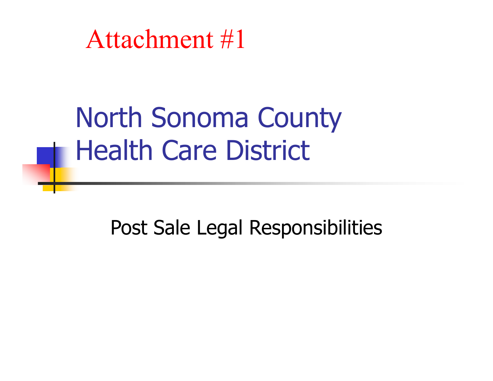North Sonoma County Health Care District

Post Sale Legal Responsibilities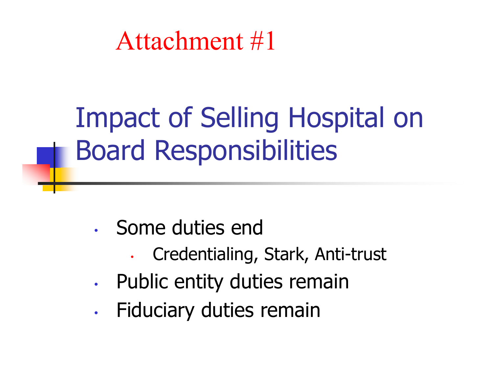# Impact of Selling Hospital on Board Responsibilities

- Some duties end
	- •Credentialing, Stark, Anti-trust
- •Public entity duties remain
- •Fiduciary duties remain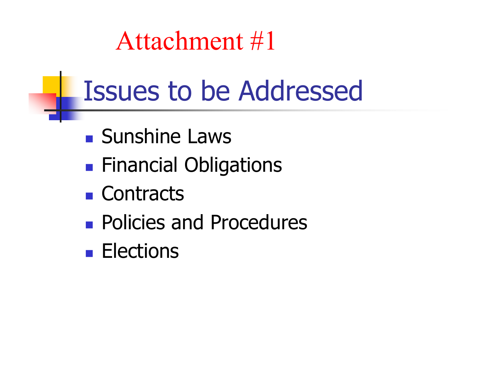## Issues to be Addressed

- **Sunshine Laws**
- **Financial Obligations**
- Contracts
- **Policies and Procedures**
- **Elections**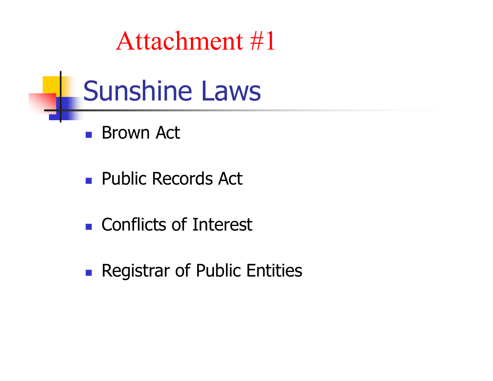# Sunshine Laws

- Brown Act
- **Public Records Act**
- **Conflicts of Interest**
- **Registrar of Public Entities**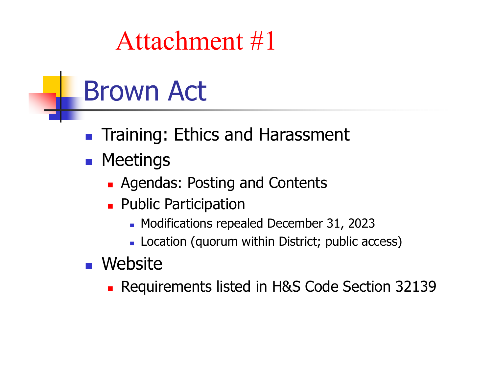# Brown Act

- **Training: Ethics and Harassment**
- **R** Meetings
	- **Agendas: Posting and Contents**
	- **Public Participation** 
		- **Nodifications repealed December 31, 2023**
		- Location (quorum within District; public access)
- **Nebsite** 
	- **Requirements listed in H&S Code Section 32139**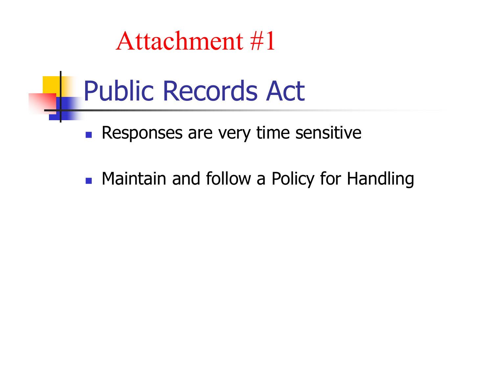## Public Records Act

**Responses are very time sensitive** 

**• Maintain and follow a Policy for Handling**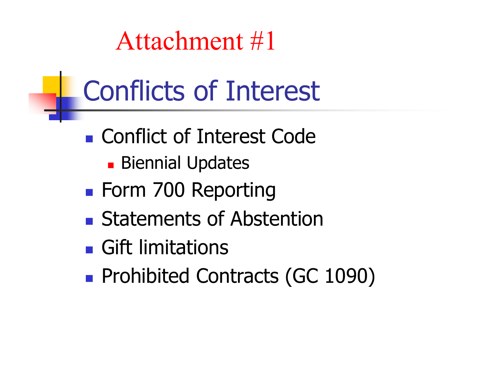# Conflicts of Interest

- Conflict of Interest Code
	- **Biennial Updates**
- **Form 700 Reporting**
- **Exercise Statements of Abstention**
- **Gift limitations**
- **Prohibited Contracts (GC 1090)**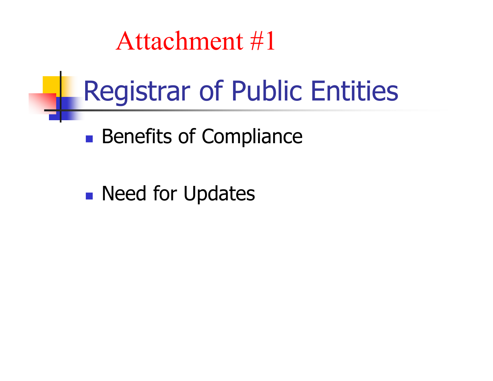# Registrar of Public Entities

**Benefits of Compliance** 

**Need for Updates**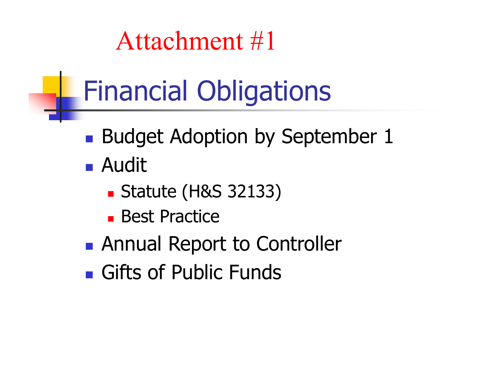# Financial Obligations

- **Budget Adoption by September 1**
- Audit
	- Statute (H&S 32133)
	- **Best Practice**
- **Annual Report to Controller**
- **Gifts of Public Funds**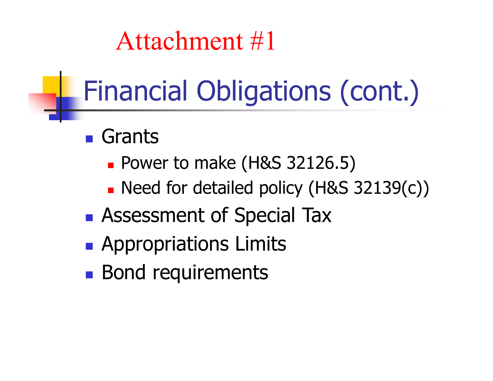# Financial Obligations (cont.)

- **Grants** 
	- **Power to make (H&S 32126.5)**
	- Need for detailed policy (H&S 32139(c))
- **Assessment of Special Tax**
- **Appropriations Limits**
- **Bond requirements**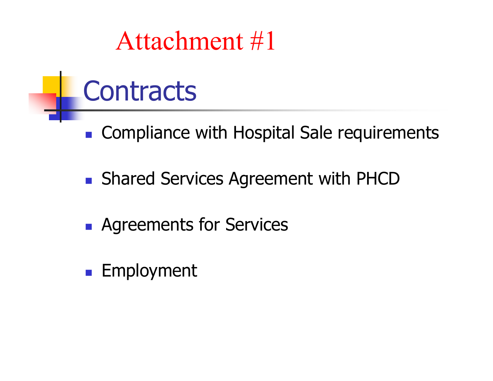# **Contracts**

- **Compliance with Hospital Sale requirements**
- **Shared Services Agreement with PHCD**
- **Agreements for Services**
- Employment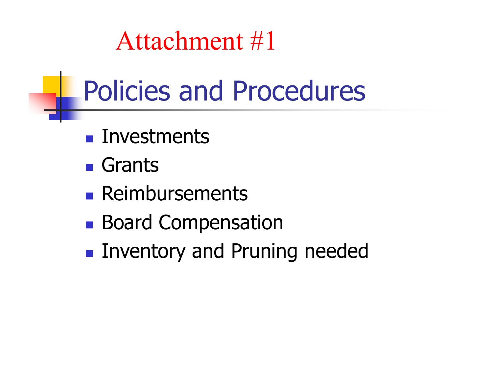# Policies and Procedures

- **Investments**
- **Grants**
- **Reimbursements**
- **Board Compensation**
- **Inventory and Pruning needed**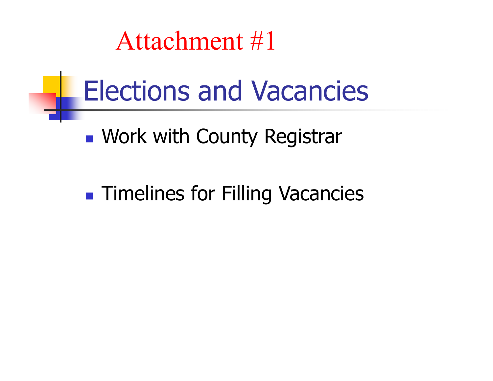## Elections and Vacancies

**Nork with County Registran** 

**Timelines for Filling Vacancies**